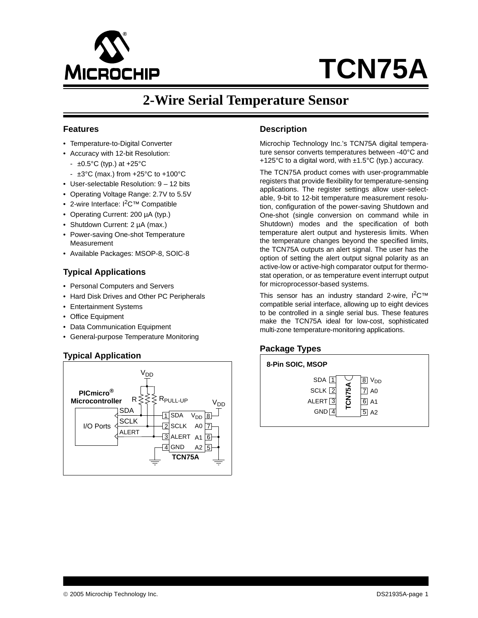

# **TCN75A**

### **2-Wire Serial Temperature Sensor**

#### **Features**

- Temperature-to-Digital Converter
- Accuracy with 12-bit Resolution:
	- $\pm 0.5^{\circ}$ C (typ.) at +25 $^{\circ}$ C
	- $-$  ±3°C (max.) from +25°C to +100°C
- User-selectable Resolution: 9 12 bits
- Operating Voltage Range: 2.7V to 5.5V
- 2-wire Interface: I<sup>2</sup>C<sup>™</sup> Compatible
- Operating Current: 200 µA (typ.)
- Shutdown Current: 2 µA (max.)
- Power-saving One-shot Temperature Measurement
- Available Packages: MSOP-8, SOIC-8

#### **Typical Applications**

- Personal Computers and Servers
- Hard Disk Drives and Other PC Peripherals
- Entertainment Systems
- Office Equipment
- Data Communication Equipment
- General-purpose Temperature Monitoring

#### **Typical Application**



#### **Description**

Microchip Technology Inc.'s TCN75A digital temperature sensor converts temperatures between -40°C and +125°C to a digital word, with ±1.5°C (typ.) accuracy.

The TCN75A product comes with user-programmable registers that provide flexibility for temperature-sensing applications. The register settings allow user-selectable, 9-bit to 12-bit temperature measurement resolution, configuration of the power-saving Shutdown and One-shot (single conversion on command while in Shutdown) modes and the specification of both temperature alert output and hysteresis limits. When the temperature changes beyond the specified limits, the TCN75A outputs an alert signal. The user has the option of setting the alert output signal polarity as an active-low or active-high comparator output for thermostat operation, or as temperature event interrupt output for microprocessor-based systems.

This sensor has an industry standard 2-wire, I<sup>2</sup>C™ compatible serial interface, allowing up to eight devices to be controlled in a single serial bus. These features make the TCN75A ideal for low-cost, sophisticated multi-zone temperature-monitoring applications.

#### **Package Types**

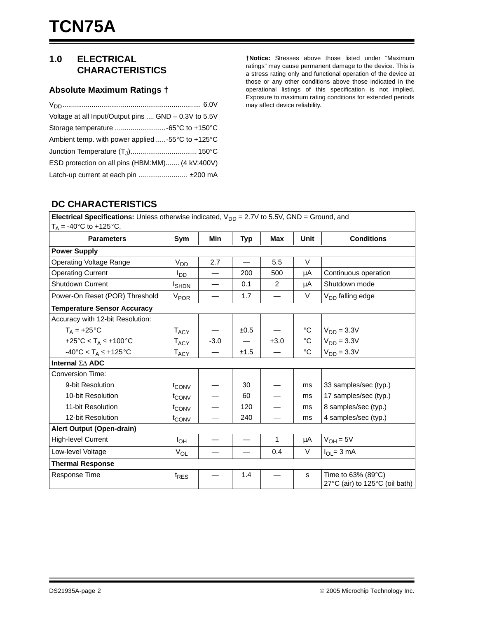#### **1.0 ELECTRICAL CHARACTERISTICS**

#### **Absolute Maximum Ratings †**

| Voltage at all Input/Output pins  GND - 0.3V to 5.5V |
|------------------------------------------------------|
|                                                      |
| Ambient temp. with power applied -55°C to +125°C     |
|                                                      |
| ESD protection on all pins (HBM:MM) (4 kV:400V)      |
| Latch-up current at each pin  ±200 mA                |

**†Notice:** Stresses above those listed under "Maximum ratings" may cause permanent damage to the device. This is a stress rating only and functional operation of the device at those or any other conditions above those indicated in the operational listings of this specification is not implied. Exposure to maximum rating conditions for extended periods may affect device reliability.

#### **DC CHARACTERISTICS**

| <b>Electrical Specifications:</b> Unless otherwise indicated, $V_{DD} = 2.7V$ to 5.5V, GND = Ground, and |  |  |  |
|----------------------------------------------------------------------------------------------------------|--|--|--|
| $T_A = -40^{\circ}C$ to $+125^{\circ}C$ .                                                                |  |  |  |
|                                                                                                          |  |  |  |

| <b>Parameters</b>                              | Sym                    | Min    | <b>Typ</b>               | Max    | <b>Unit</b>  | <b>Conditions</b>                                                  |
|------------------------------------------------|------------------------|--------|--------------------------|--------|--------------|--------------------------------------------------------------------|
| <b>Power Supply</b>                            |                        |        |                          |        |              |                                                                    |
| <b>Operating Voltage Range</b>                 | V <sub>DD</sub>        | 2.7    | $\overline{\phantom{0}}$ | 5.5    | $\vee$       |                                                                    |
| <b>Operating Current</b>                       | l <sub>DD</sub>        |        | 200                      | 500    | μA           | Continuous operation                                               |
| <b>Shutdown Current</b>                        | <b>I</b> SHDN          |        | 0.1                      | 2      | μA           | Shutdown mode                                                      |
| Power-On Reset (POR) Threshold                 | <b>V<sub>POR</sub></b> |        | 1.7                      | —      | V            | V <sub>DD</sub> falling edge                                       |
| <b>Temperature Sensor Accuracy</b>             |                        |        |                          |        |              |                                                                    |
| Accuracy with 12-bit Resolution:               |                        |        |                          |        |              |                                                                    |
| $T_A = +25$ °C                                 | $T_{\rm{ACY}}$         |        | ±0.5                     |        | °C           | $V_{DD} = 3.3V$                                                    |
| +25°C < $T_A \le +100$ °C                      | $T_{\rm ACY}$          | $-3.0$ |                          | $+3.0$ | $^{\circ}$ C | $V_{DD} = 3.3V$                                                    |
| $-40^{\circ}$ C < T <sub>A</sub> $\le$ +125 °C | $T_{\rm ACY}$          |        | ±1.5                     |        | °C           | $V_{DD} = 3.3V$                                                    |
| Internal <b><i>EA</i></b> ADC                  |                        |        |                          |        |              |                                                                    |
| <b>Conversion Time:</b>                        |                        |        |                          |        |              |                                                                    |
| 9-bit Resolution                               | t <sub>CONV</sub>      |        | 30                       |        | ms           | 33 samples/sec (typ.)                                              |
| 10-bit Resolution                              | t <sub>CONV</sub>      |        | 60                       |        | ms           | 17 samples/sec (typ.)                                              |
| 11-bit Resolution                              | t <sub>CONV</sub>      |        | 120                      |        | ms           | 8 samples/sec (typ.)                                               |
| 12-bit Resolution                              | t <sub>CONV</sub>      |        | 240                      |        | ms           | 4 samples/sec (typ.)                                               |
| Alert Output (Open-drain)                      |                        |        |                          |        |              |                                                                    |
| High-level Current                             | $I_{OH}$               |        |                          | 1      | μA           | $V_{OH} = 5V$                                                      |
| Low-level Voltage                              | $V_{OL}$               |        |                          | 0.4    | V            | $I_{OL} = 3$ mA                                                    |
| <b>Thermal Response</b>                        |                        |        |                          |        |              |                                                                    |
| Response Time                                  | <sup>t</sup> RES       |        | 1.4                      |        | s            | Time to $63\%$ (89 $^{\circ}$ C)<br>27°C (air) to 125°C (oil bath) |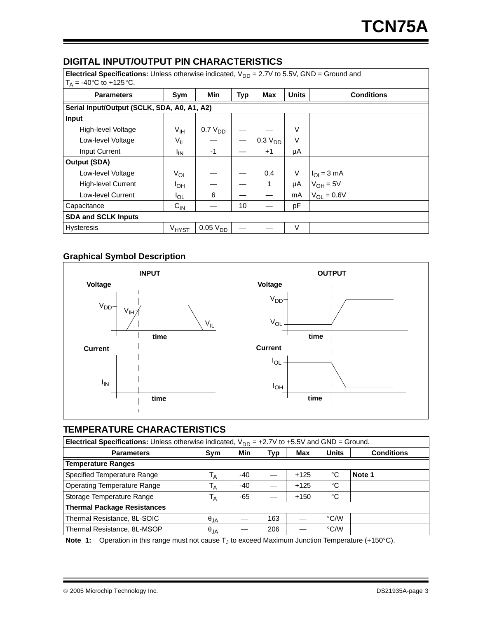#### **DIGITAL INPUT/OUTPUT PIN CHARACTERISTICS**

**Electrical Specifications:** Unless otherwise indicated, V<sub>DD</sub> = 2.7V to 5.5V, GND = Ground and

| $T_A = -40^{\circ}C$ to $+125^{\circ}C$ .   |                   |                      |            |                     |              |                   |  |  |  |  |
|---------------------------------------------|-------------------|----------------------|------------|---------------------|--------------|-------------------|--|--|--|--|
| <b>Parameters</b>                           | Sym               | <b>Min</b>           | <b>Typ</b> | <b>Max</b>          | <b>Units</b> | <b>Conditions</b> |  |  |  |  |
| Serial Input/Output (SCLK, SDA, A0, A1, A2) |                   |                      |            |                     |              |                   |  |  |  |  |
| Input                                       |                   |                      |            |                     |              |                   |  |  |  |  |
| High-level Voltage                          | $V_{\text{IH}}$   | $0.7 V_{DD}$         |            |                     | V            |                   |  |  |  |  |
| Low-level Voltage                           | $V_{IL}$          |                      |            | 0.3 V <sub>DD</sub> | $\vee$       |                   |  |  |  |  |
| Input Current                               | <sup>I</sup> IN   | $-1$                 |            | $+1$                | μA           |                   |  |  |  |  |
| <b>Output (SDA)</b>                         |                   |                      |            |                     |              |                   |  |  |  |  |
| Low-level Voltage                           | $V_{OL}$          |                      |            | 0.4                 | V            | $I_{OL} = 3$ mA   |  |  |  |  |
| <b>High-level Current</b>                   | I <sub>OH</sub>   |                      |            | 1                   | μA           | $V_{OH} = 5V$     |  |  |  |  |
| Low-level Current                           | <b>I</b> OL       | 6                    |            |                     | mA           | $V_{OL} = 0.6V$   |  |  |  |  |
| Capacitance                                 | $C_{IN}$          |                      | 10         |                     | pF           |                   |  |  |  |  |
| <b>SDA and SCLK Inputs</b>                  |                   |                      |            |                     |              |                   |  |  |  |  |
| <b>Hysteresis</b>                           | V <sub>HYST</sub> | 0.05 V <sub>DD</sub> |            |                     | V            |                   |  |  |  |  |

#### **Graphical Symbol Description**



#### **TEMPERATURE CHARACTERISTICS**

| <b>Electrical Specifications:</b> Unless otherwise indicated, $V_{DD}$ = +2.7V to +5.5V and GND = Ground. |               |       |            |            |              |                   |  |  |  |  |  |  |
|-----------------------------------------------------------------------------------------------------------|---------------|-------|------------|------------|--------------|-------------------|--|--|--|--|--|--|
| <b>Parameters</b>                                                                                         | Sym           | Min   | <b>Typ</b> | <b>Max</b> | <b>Units</b> | <b>Conditions</b> |  |  |  |  |  |  |
| <b>Temperature Ranges</b>                                                                                 |               |       |            |            |              |                   |  |  |  |  |  |  |
| Specified Temperature Range                                                                               | Тд            | $-40$ |            | $+125$     | °C           | Note 1            |  |  |  |  |  |  |
| Operating Temperature Range                                                                               | $T_A$         | $-40$ |            | $+125$     | °C           |                   |  |  |  |  |  |  |
| Storage Temperature Range                                                                                 | $T_A$         | -65   |            | $+150$     | °C           |                   |  |  |  |  |  |  |
| <b>Thermal Package Resistances</b>                                                                        |               |       |            |            |              |                   |  |  |  |  |  |  |
| Thermal Resistance, 8L-SOIC                                                                               | $\theta_{JA}$ |       | 163        |            | °C/W         |                   |  |  |  |  |  |  |
| Thermal Resistance, 8L-MSOP                                                                               | $\theta_{JA}$ |       | 206        |            | °C/W         |                   |  |  |  |  |  |  |

<span id="page-2-0"></span>**Note 1:** Operation in this range must not cause T<sub>J</sub> to exceed Maximum Junction Temperature (+150°C).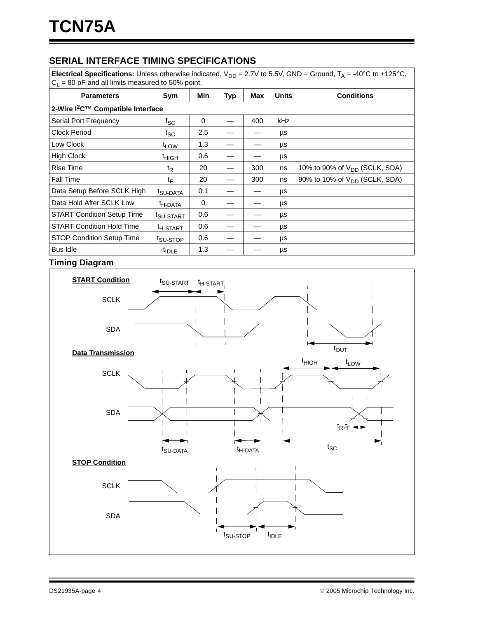### **SERIAL INTERFACE TIMING SPECIFICATIONS**

**Electrical Specifications:** Unless otherwise indicated,  $V_{DD} = 2.7V$  to 5.5V, GND = Ground,  $T_A = -40^{\circ}C$  to +125 °C,  $C_1$  = 80 pF and all limits measured to 50% point.

| <b>Parameters</b>                             | Sym                   | Min | <b>Typ</b> | Max | <b>Units</b> | <b>Conditions</b>                         |  |  |  |  |  |
|-----------------------------------------------|-----------------------|-----|------------|-----|--------------|-------------------------------------------|--|--|--|--|--|
| 2-Wire I <sup>2</sup> C™ Compatible Interface |                       |     |            |     |              |                                           |  |  |  |  |  |
| Serial Port Frequency                         | $f_{\mathsf{SC}}$     | 0   |            | 400 | kHz.         |                                           |  |  |  |  |  |
| <b>Clock Period</b>                           | $t_{SC}$              | 2.5 |            |     | μs           |                                           |  |  |  |  |  |
| Low Clock                                     | t <sub>LOW</sub>      | 1.3 |            |     | μs           |                                           |  |  |  |  |  |
| <b>High Clock</b>                             | <sup>t</sup> ніgн     | 0.6 |            |     | μs           |                                           |  |  |  |  |  |
| Rise Time                                     | t <sub>R</sub>        | 20  |            | 300 | ns           | 10% to 90% of V <sub>DD</sub> (SCLK, SDA) |  |  |  |  |  |
| Fall Time                                     | tF                    | 20  |            | 300 | ns           | 90% to 10% of V <sub>DD</sub> (SCLK, SDA) |  |  |  |  |  |
| Data Setup Before SCLK High                   | <sup>t</sup> SU-DATA  | 0.1 |            |     | μs           |                                           |  |  |  |  |  |
| Data Hold After SCLK Low                      | <sup>t</sup> H-DATA   | 0   |            |     | μs           |                                           |  |  |  |  |  |
| <b>START Condition Setup Time</b>             | <sup>t</sup> SU-START | 0.6 |            |     | μs           |                                           |  |  |  |  |  |
| <b>START Condition Hold Time</b>              | <sup>t</sup> H-START  | 0.6 |            |     | μs           |                                           |  |  |  |  |  |
| STOP Condition Setup Time                     | t <sub>SU-STOP</sub>  | 0.6 |            |     | μs           |                                           |  |  |  |  |  |
| Bus Idle                                      | <sup>t</sup> IDLE     | 1.3 |            |     | μs           |                                           |  |  |  |  |  |

#### **Timing Diagram**

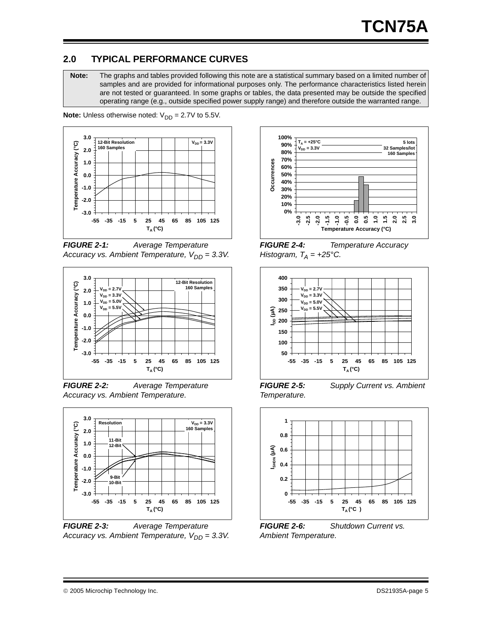#### **2.0 TYPICAL PERFORMANCE CURVES**

**Note:** The graphs and tables provided following this note are a statistical summary based on a limited number of samples and are provided for informational purposes only. The performance characteristics listed herein are not tested or guaranteed. In some graphs or tables, the data presented may be outside the specified operating range (e.g., outside specified power supply range) and therefore outside the warranted range.

**Note:** Unless otherwise noted:  $V_{DD} = 2.7V$  to 5.5V.



*FIGURE 2-1: Average Temperature Accuracy vs. Ambient Temperature, V<sub>DD</sub> = 3.3V.* 



*FIGURE 2-2: Average Temperature Accuracy vs. Ambient Temperature.*



*FIGURE 2-3: Average Temperature Accuracy vs. Ambient Temperature, V<sub>DD</sub> = 3.3V.* 



<span id="page-4-0"></span>*FIGURE 2-4: Temperature Accuracy Histogram,*  $T_A = +25^{\circ}C$ .



*FIGURE 2-5: Supply Current vs. Ambient Temperature.*



*FIGURE 2-6: Shutdown Current vs. Ambient Temperature.*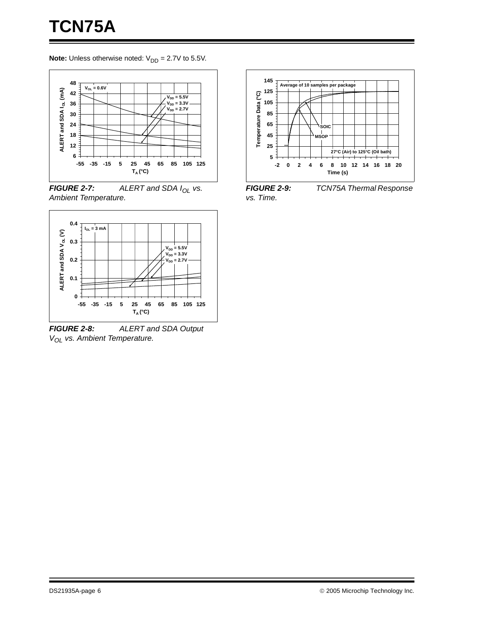**Note:** Unless otherwise noted:  $V_{DD} = 2.7V$  to 5.5V.







*FIGURE 2-8: ALERT and SDA Output VOL vs. Ambient Temperature.*



*FIGURE 2-9: TCN75A Thermal Response vs. Time.*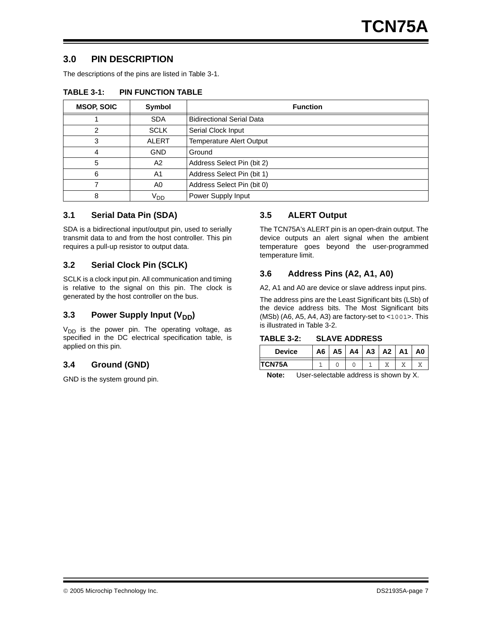#### **3.0 PIN DESCRIPTION**

The descriptions of the pins are listed in [Table 3-1.](#page-6-0)

| <b>MSOP, SOIC</b> | Symbol          | <b>Function</b>                  |
|-------------------|-----------------|----------------------------------|
|                   | <b>SDA</b>      | <b>Bidirectional Serial Data</b> |
| 2                 | <b>SCLK</b>     | Serial Clock Input               |
| 3                 | <b>ALERT</b>    | <b>Temperature Alert Output</b>  |
|                   | <b>GND</b>      | Ground                           |
| 5                 | A2              | Address Select Pin (bit 2)       |
| 6                 | A <sub>1</sub>  | Address Select Pin (bit 1)       |
|                   | A0              | Address Select Pin (bit 0)       |
| 8                 | V <sub>DD</sub> | Power Supply Input               |

#### <span id="page-6-0"></span>**TABLE 3-1: PIN FUNCTION TABLE**

#### **3.1 Serial Data Pin (SDA)**

SDA is a bidirectional input/output pin, used to serially transmit data to and from the host controller. This pin requires a pull-up resistor to output data.

#### **3.2 Serial Clock Pin (SCLK)**

SCLK is a clock input pin. All communication and timing is relative to the signal on this pin. The clock is generated by the host controller on the bus.

#### **3.3** Power Supply Input (V<sub>DD</sub>)

 $V_{DD}$  is the power pin. The operating voltage, as specified in the DC electrical specification table, is applied on this pin.

#### **3.4 Ground (GND)**

GND is the system ground pin.

#### **3.5 ALERT Output**

The TCN75A's ALERT pin is an open-drain output. The device outputs an alert signal when the ambient temperature goes beyond the user-programmed temperature limit.

#### **3.6 Address Pins (A2, A1, A0)**

A2, A1 and A0 are device or slave address input pins.

The address pins are the Least Significant bits (LSb) of the device address bits. The Most Significant bits (MSb) (A6, A5, A4, A3) are factory-set to <1001>. This is illustrated in [Table 3-2](#page-6-1).

#### <span id="page-6-1"></span>**TABLE 3-2: SLAVE ADDRESS**

| <b>Device</b> | A6. |  | $A5$   A4   A3   A2   A1 |  | A <sub>0</sub> |
|---------------|-----|--|--------------------------|--|----------------|
| <b>TCN75A</b> |     |  |                          |  |                |

**Note:** User-selectable address is shown by X.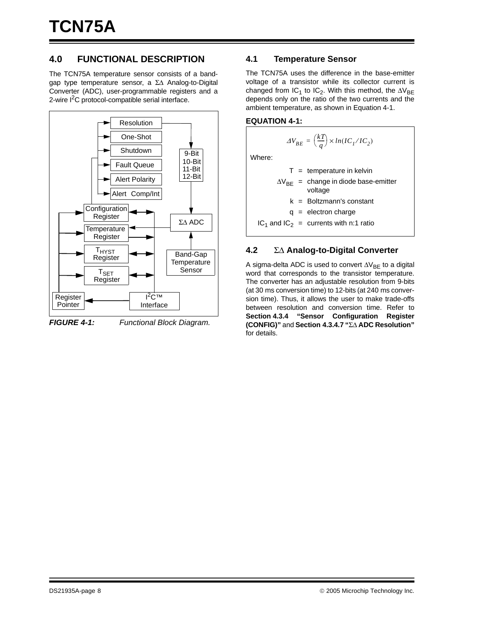#### **4.0 FUNCTIONAL DESCRIPTION**

The TCN75A temperature sensor consists of a bandgap type temperature sensor, a ΣΔ Analog-to-Digital Converter (ADC), user-programmable registers and a 2-wire I<sup>2</sup>C protocol-compatible serial interface.



*FIGURE 4-1: Functional Block Diagram.*

#### **4.1 Temperature Sensor**

The TCN75A uses the difference in the base-emitter voltage of a transistor while its collector current is changed from IC<sub>1</sub> to IC<sub>2</sub>. With this method, the  $\Delta V_{BE}$ depends only on the ratio of the two currents and the ambient temperature, as shown in [Equation 4-1.](#page-7-0)

<span id="page-7-0"></span>**EQUATION 4-1:**

Where:

$$
\Delta V_{BE} = \left(\frac{kT}{q}\right) \times ln(IC_1/IC_2)
$$
  
T = temperature in kelvin

 $\Delta V_{BE}$  = change in diode base-emitter voltage

k = Boltzmann's constant

q = electron charge

 $IC_1$  and  $IC_2$  = currents with n:1 ratio

#### **4.2** ΣΔ **Analog-to-Digital Converter**

A sigma-delta ADC is used to convert  $\Delta V_{BE}$  to a digital word that corresponds to the transistor temperature. The converter has an adjustable resolution from 9-bits (at 30 ms conversion time) to 12-bits (at 240 ms conversion time). Thus, it allows the user to make trade-offs between resolution and conversion time. Refer to **[Section 4.3.4 "Sensor Configuration Register](#page-12-0) [\(CONFIG\)"](#page-12-0)** and **Section 4.3.4.7 "**ΣΔ **[ADC Resolution"](#page-14-0)** for details.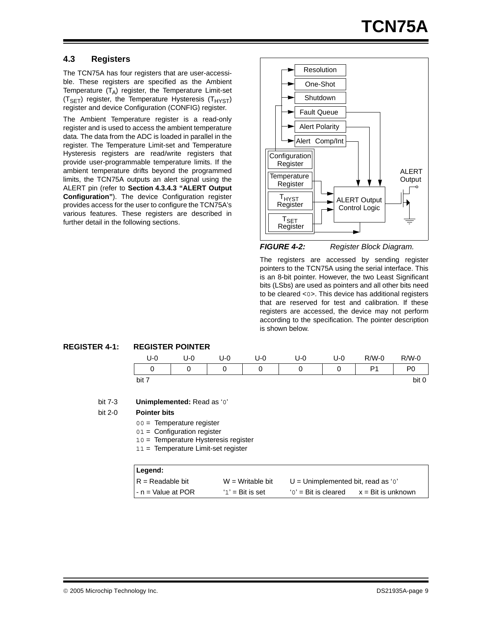#### **4.3 Registers**

The TCN75A has four registers that are user-accessible. These registers are specified as the Ambient Temperature  $(T_A)$  register, the Temperature Limit-set  $(T<sub>SFT</sub>)$  register, the Temperature Hysteresis (T<sub>HYST</sub>) register and device Configuration (CONFIG) register.

The Ambient Temperature register is a read-only register and is used to access the ambient temperature data. The data from the ADC is loaded in parallel in the register. The Temperature Limit-set and Temperature Hysteresis registers are read/write registers that provide user-programmable temperature limits. If the ambient temperature drifts beyond the programmed limits, the TCN75A outputs an alert signal using the ALERT pin (refer to **[Section 4.3.4.3 "ALERT Output](#page-13-0) [Configuration"](#page-13-0)**). The device Configuration register provides access for the user to configure the TCN75A's various features. These registers are described in further detail in the following sections.



*FIGURE 4-2: Register Block Diagram.*

The registers are accessed by sending register pointers to the TCN75A using the serial interface. This is an 8-bit pointer. However, the two Least Significant bits (LSbs) are used as pointers and all other bits need to be cleared <0>. This device has additional registers that are reserved for test and calibration. If these registers are accessed, the device may not perform according to the specification. The pointer description is shown below.

#### **REGISTER 4-1: REGISTER POINTER**

| $U-0$       | $U-0$ | U-0         | $U-0$       | $U-0$       | U-0      | $R/W-0$        | $R/W-0$        |
|-------------|-------|-------------|-------------|-------------|----------|----------------|----------------|
| $\mathbf 0$ |       | $\mathbf 0$ | $\mathbf 0$ | $\mathbf 0$ | $\Omega$ | P <sub>1</sub> | P <sub>0</sub> |
| bit 7       |       |             |             |             |          |                | bit 0          |

bit 7-3 **Unimplemented:** Read as '0'

#### bit 2-0 **Pointer bits**

00 = Temperature register

01 = Configuration register

- 10 = Temperature Hysteresis register
- 11 = Temperature Limit-set register

#### **Legend:**

| Legena:             |                     |                                      |                             |
|---------------------|---------------------|--------------------------------------|-----------------------------|
| $R =$ Readable bit  | $W = Writeable bit$ | $U =$ Unimplemented bit, read as '0' |                             |
| $-n =$ Value at POR | $'1'$ = Bit is set  | $'o'$ = Bit is cleared               | $x = \text{Bit}$ is unknown |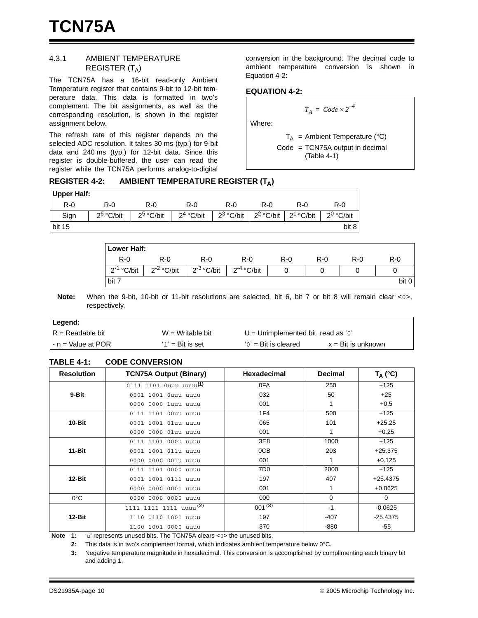#### 4.3.1 AMBIENT TEMPERATURE REGISTER  $(T_A)$

The TCN75A has a 16-bit read-only Ambient Temperature register that contains 9-bit to 12-bit temperature data. This data is formatted in two's complement. The bit assignments, as well as the corresponding resolution, is shown in the register assignment below.

The refresh rate of this register depends on the selected ADC resolution. It takes 30 ms (typ.) for 9-bit data and 240 ms (typ.) for 12-bit data. Since this register is double-buffered, the user can read the register while the TCN75A performs analog-to-digital

conversion in the background. The decimal code to ambient temperature conversion is shown in [Equation 4-2:](#page-9-0)

#### <span id="page-9-0"></span>**EQUATION 4-2:**

$$
T_A\,=\,Code\times 2^{-4}
$$

Where:

 $T_A$  = Ambient Temperature (°C) Code = TCN75A output in decimal ([Table 4-1\)](#page-9-1)

#### **REGISTER 4-2: AMBIENT TEMPERATURE REGISTER (TA)**

| <b>Upper Half:</b> |              |              |              |              |              |              |              |
|--------------------|--------------|--------------|--------------|--------------|--------------|--------------|--------------|
| $R - 0$            | R-0          | $R - 0$      | $R - 0$      | $R - 0$      | $R - 0$      | $R - 0$      | $R - 0$      |
| Sign               | $2^6$ °C/bit | $2^5$ °C/bit | $2^4$ °C/bit | $2^3$ °C/bit | $2^2$ °C/bit | $2^1$ °C/bit | $2^0$ °C/bit |
| bit 15             |              |              |              |              |              |              | bit 8        |

| <b>Lower Half:</b> |                 |                 |                 |         |         |         |         |
|--------------------|-----------------|-----------------|-----------------|---------|---------|---------|---------|
| $R - 0$            | $R - 0$         | $R - 0$         | $R - 0$         | $R - 0$ | $R - 0$ | $R - 0$ | $R - 0$ |
| $2^{-1}$ °C/bit    | $2^{-2}$ °C/bit | $2^{-3}$ °C/bit | $2^{-4}$ °C/bit |         |         |         |         |
| bit 7              |                 |                 |                 |         |         |         | bit 0   |

**Note:** When the 9-bit, 10-bit or 11-bit resolutions are selected, bit 6, bit 7 or bit 8 will remain clear <0>, respectively.

#### **Legend:**

| $R = Readable bit$     | $W = Writeable bit$ | $U =$ Unimplemented bit, read as '0' |                             |
|------------------------|---------------------|--------------------------------------|-----------------------------|
| $l - n =$ Value at POR | $'1'$ = Bit is set  | $'0'$ = Bit is cleared               | $x = \text{Bit}$ is unknown |

#### <span id="page-9-1"></span>**TABLE 4-1: CODE CONVERSION**

| <b>Resolution</b> | <b>TCN75A Output (Binary)</b>      | <b>Hexadecimal</b> | <b>Decimal</b> | $T_A$ (°C) |
|-------------------|------------------------------------|--------------------|----------------|------------|
|                   | 0111 1101 0uuu uuuu(1)             | 0FA                | 250            | $+125$     |
| 9-Bit             | 0001 1001 0uuu uuuu                | 032                | 50             | $+25$      |
|                   | 0000 1uuu uuuu<br>0000             | 001                | 1              | $+0.5$     |
|                   | 0111 1101 00uu uuuu                | 1F <sub>4</sub>    | 500            | $+125$     |
| 10-Bit            | 0001 1001 01uu uuuu                | 065                | 101            | $+25.25$   |
|                   | 0000 0000 01uu uuuu                | 001                | 1              | $+0.25$    |
|                   | 0111 1101 000u uuuu                | 3E8                | 1000           | $+125$     |
| 11-Bit            | 0001 1001 011u uuuu                | 0CB                | 203            | $+25.375$  |
|                   | 0000 0000 001u uuuu                | 001                |                | $+0.125$   |
|                   | 0111 1101 0000 uuuu                | 7D <sub>0</sub>    | 2000           | $+125$     |
| $12-Bit$          | 0001 1001 0111 uuuu                | 197                | 407            | $+25.4375$ |
|                   | 0000 0000 0001 uuuu                | 001                |                | $+0.0625$  |
| $0^{\circ}$ C     | 0000 0000 uuuu<br>0000             | 000                | $\Omega$       | $\Omega$   |
|                   | 1111 1111 1111 uuuu <sup>(2)</sup> | $001^{(3)}$        | $-1$           | $-0.0625$  |
| 12-Bit            | 1110 0110 1001 uuuu                | 197                | -407           | $-25.4375$ |
|                   | 1100 1001 0000 uuuu                | 370                | $-880$         | $-55$      |

**Note 1:** 'u' represents unused bits. The TCN75A clears <0> the unused bits.

**2:** This data is in two's complement format, which indicates ambient temperature below 0°C.

**3:** Negative temperature magnitude in hexadecimal. This conversion is accomplished by complimenting each binary bit and adding 1.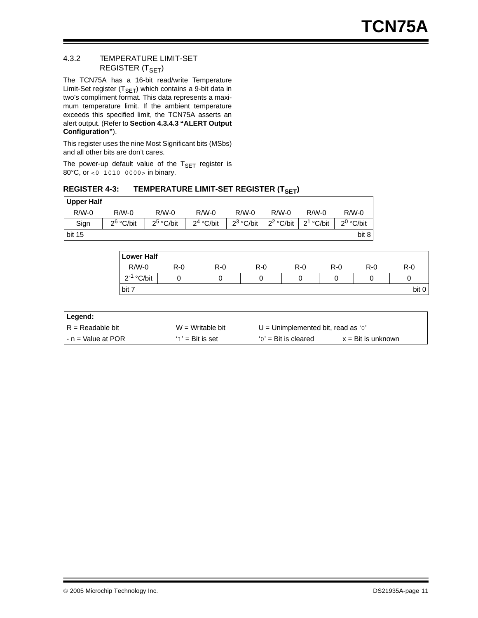#### 4.3.2 TEMPERATURE LIMIT-SET REGISTER (T<sub>SET</sub>)

The TCN75A has a 16-bit read/write Temperature Limit-Set register ( $T_{\text{SET}}$ ) which contains a 9-bit data in two's compliment format. This data represents a maximum temperature limit. If the ambient temperature exceeds this specified limit, the TCN75A asserts an alert output. (Refer to **[Section 4.3.4.3 "ALERT Output](#page-13-0) [Configuration"](#page-13-0)**).

This register uses the nine Most Significant bits (MSbs) and all other bits are don't cares.

The power-up default value of the  $T_{\text{SET}}$  register is 80°C, or <0 1010 0000> in binary.

| Upper Half |              |                       |              |              |              |              |              |
|------------|--------------|-----------------------|--------------|--------------|--------------|--------------|--------------|
| $R/W-0$    | $R/W-0$      | $R/W-0$               | $R/W-0$      | $R/W-0$      | $R/W-0$      | $R/W-0$      | $R/M-0$      |
| Sign       | $2^6$ °C/bit | 2 <sup>5</sup> °C/bit | $2^4$ °C/bit | $2^3$ °C/bit | $2^2$ °C/bit | $2^1$ °C/bit | $2^0$ °C/bit |
| bit 15     |              |                       |              |              |              |              | bit 8        |

| <b>Lower Half</b> |         |         |         |         |         |         |         |
|-------------------|---------|---------|---------|---------|---------|---------|---------|
| $R/W-0$           | $R - 0$ | $R - 0$ | $R - 0$ | $R - 0$ | $R - 0$ | $R - 0$ | $R - 0$ |
| $2^{-1}$ °C/bit   |         |         | U       |         |         |         |         |
| bit 7             |         |         |         |         |         |         | bit 0   |

| ∣Legend:               |                     |                                      |                    |
|------------------------|---------------------|--------------------------------------|--------------------|
| $IR = Readable bit$    | $W = Writeable bit$ | $U =$ Unimplemented bit, read as '0' |                    |
| $l - n =$ Value at POR | $'1'$ = Bit is set  | $'0'$ = Bit is cleared               | x = Bit is unknown |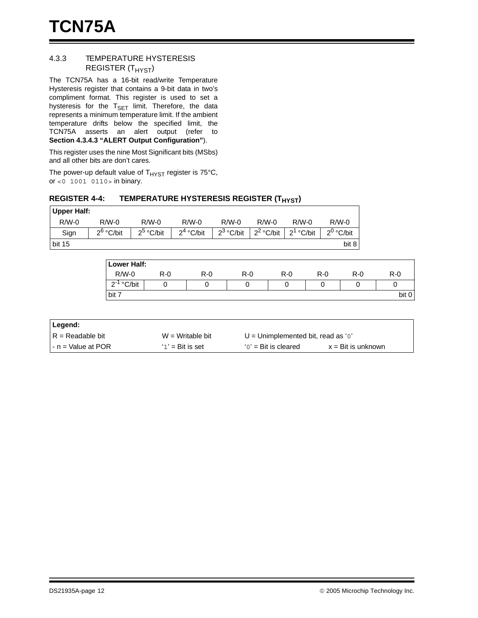#### 4.3.3 TEMPERATURE HYSTERESIS REGISTER (T<sub>HYST</sub>)

The TCN75A has a 16-bit read/write Temperature Hysteresis register that contains a 9-bit data in two's compliment format. This register is used to set a hysteresis for the  $T_{\text{SET}}$  limit. Therefore, the data represents a minimum temperature limit. If the ambient temperature drifts below the specified limit, the TCN75A asserts an alert output (refer to **[Section 4.3.4.3 "ALERT Output Configuration"](#page-13-0)**).

This register uses the nine Most Significant bits (MSbs) and all other bits are don't cares.

The power-up default value of  $T_{H\gamma ST}$  register is 75°C, or <0 1001 0110> in binary.

#### REGISTER 4-4: TEMPERATURE HYSTERESIS REGISTER (T<sub>HYST</sub>)

| <b>Upper Half:</b> |              |              |              |              |              |                       |              |
|--------------------|--------------|--------------|--------------|--------------|--------------|-----------------------|--------------|
| $R/W-0$            | $R/W-0$      | $R/W-0$      | $R/W-0$      | $R/W-0$      | $R/W-0$      | $R/W-0$               | $R/W-0$      |
| Sign               | $2^6$ °C/bit | $2^5$ °C/bit | $2^4$ °C/bit | $2^3$ °C/bit | $2^2$ °C/bit | 2 <sup>1</sup> °C/bit | $2^0$ °C/bit |
| bit 15             |              |              |              |              |              |                       | bit 8        |

| <b>Lower Half:</b> |         |         |         |         |         |         |         |
|--------------------|---------|---------|---------|---------|---------|---------|---------|
| $R/W-0$            | $R - 0$ | $R - 0$ | $R - 0$ | $R - 0$ | $R - 0$ | $R - 0$ | $R - 0$ |
| °C/bit<br>$\cap$ . |         |         |         | u       |         |         |         |
| bit 7              |         |         |         |         |         |         | bit 0   |

| ∣Legend:               |                     |                                      |                    |
|------------------------|---------------------|--------------------------------------|--------------------|
| $IR = Readable bit$    | $W = Writeable bit$ | $U =$ Unimplemented bit, read as '0' |                    |
| $l - n =$ Value at POR | $'1'$ = Bit is set  | $'0'$ = Bit is cleared               | x = Bit is unknown |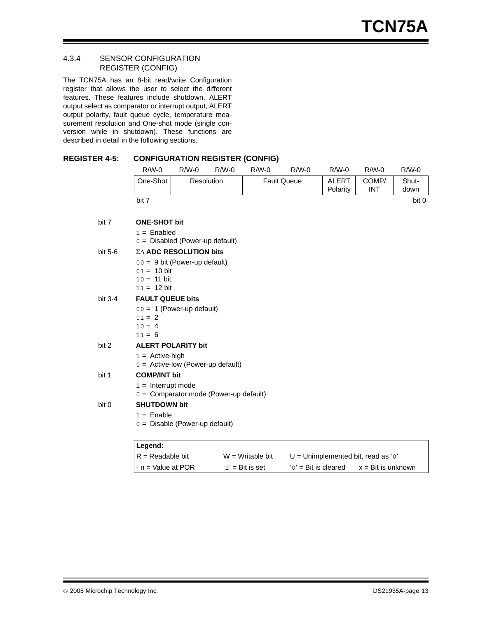#### <span id="page-12-0"></span>4.3.4 SENSOR CONFIGURATION REGISTER (CONFIG)

The TCN75A has an 8-bit read/write Configuration register that allows the user to select the different features. These features include shutdown, ALERT output select as comparator or interrupt output, ALERT output polarity, fault queue cycle, temperature measurement resolution and One-shot mode (single conversion while in shutdown). These functions are described in detail in the following sections.

#### **REGISTER 4-**

| R 4-5:    | <b>CONFIGURATION REGISTER (CONFIG)</b>                                                             |                                  |         |                     |                        |                          |                                      |               |  |  |  |
|-----------|----------------------------------------------------------------------------------------------------|----------------------------------|---------|---------------------|------------------------|--------------------------|--------------------------------------|---------------|--|--|--|
|           | $R/W-0$                                                                                            | $R/W-0$                          | $R/W-0$ | $R/W-0$             | $R/W-0$                | $R/W-0$                  | $R/W-0$                              | $R/W-0$       |  |  |  |
|           | One-Shot                                                                                           | Resolution                       |         |                     | <b>Fault Queue</b>     | <b>ALERT</b><br>Polarity | COMP/<br><b>INT</b>                  | Shut-<br>down |  |  |  |
|           | bit 7                                                                                              |                                  |         |                     |                        |                          |                                      | bit 0         |  |  |  |
| bit 7     | <b>ONE-SHOT bit</b>                                                                                |                                  |         |                     |                        |                          |                                      |               |  |  |  |
|           | $1 =$ Enabled<br>$0 =$ Disabled (Power-up default)                                                 |                                  |         |                     |                        |                          |                                      |               |  |  |  |
| bit 5-6   | <b>ΣΔ ADC RESOLUTION bits</b>                                                                      |                                  |         |                     |                        |                          |                                      |               |  |  |  |
|           | $00 = 9$ bit (Power-up default)<br>$01 = 10 \text{ bit}$<br>$10 = 11$ bit<br>$11 = 12 \text{ bit}$ |                                  |         |                     |                        |                          |                                      |               |  |  |  |
| bit $3-4$ | <b>FAULT QUEUE bits</b>                                                                            |                                  |         |                     |                        |                          |                                      |               |  |  |  |
|           | $00 = 1$ (Power-up default)<br>$01 = 2$<br>$10 = 4$<br>$11 = 6$                                    |                                  |         |                     |                        |                          |                                      |               |  |  |  |
| bit 2     |                                                                                                    | <b>ALERT POLARITY bit</b>        |         |                     |                        |                          |                                      |               |  |  |  |
|           | $1 =$ Active-high<br>$0 =$ Active-low (Power-up default)                                           |                                  |         |                     |                        |                          |                                      |               |  |  |  |
| bit 1     |                                                                                                    | <b>COMP/INT bit</b>              |         |                     |                        |                          |                                      |               |  |  |  |
|           | $1 =$ Interrupt mode<br>$0 =$ Comparator mode (Power-up default)                                   |                                  |         |                     |                        |                          |                                      |               |  |  |  |
| bit 0     | <b>SHUTDOWN bit</b>                                                                                |                                  |         |                     |                        |                          |                                      |               |  |  |  |
|           | $1 =$ Enable                                                                                       |                                  |         |                     |                        |                          |                                      |               |  |  |  |
|           |                                                                                                    | $0 =$ Disable (Power-up default) |         |                     |                        |                          |                                      |               |  |  |  |
|           | Legend:                                                                                            |                                  |         |                     |                        |                          |                                      |               |  |  |  |
|           | $R =$ Readable bit                                                                                 |                                  |         | $W = Writeable bit$ |                        |                          | $U =$ Unimplemented bit, read as '0' |               |  |  |  |
|           | - n = Value at POR                                                                                 |                                  |         | $1'$ = Bit is set   | $'0'$ = Bit is cleared |                          | $x = \text{Bit}$ is unknown          |               |  |  |  |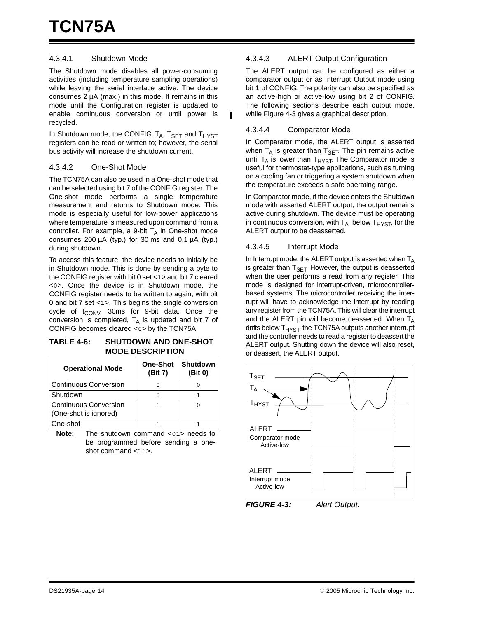#### 4.3.4.1 Shutdown Mode

The Shutdown mode disables all power-consuming activities (including temperature sampling operations) while leaving the serial interface active. The device consumes 2 µA (max.) in this mode. It remains in this mode until the Configuration register is updated to enable continuous conversion or until power is recycled.

In Shutdown mode, the CONFIG,  $T_A$ ,  $T_{SET}$  and  $T_{H YST}$ registers can be read or written to; however, the serial bus activity will increase the shutdown current.

#### 4.3.4.2 One-Shot Mode

The TCN75A can also be used in a One-shot mode that can be selected using bit 7 of the CONFIG register. The One-shot mode performs a single temperature measurement and returns to Shutdown mode. This mode is especially useful for low-power applications where temperature is measured upon command from a controller. For example, a 9-bit  $T_A$  in One-shot mode consumes 200  $\mu$ A (typ.) for 30 ms and 0.1  $\mu$ A (typ.) during shutdown.

To access this feature, the device needs to initially be in Shutdown mode. This is done by sending a byte to the CONFIG register with bit 0 set <1> and bit 7 cleared <0>. Once the device is in Shutdown mode, the CONFIG register needs to be written to again, with bit 0 and bit 7 set <1>. This begins the single conversion cycle of  $t_{CONV}$ , 30ms for 9-bit data. Once the conversion is completed,  $T_A$  is updated and bit 7 of CONFIG becomes cleared <0> by the TCN75A.

#### **TABLE 4-6: SHUTDOWN AND ONE-SHOT MODE DESCRIPTION**

| <b>Operational Mode</b>                               | One-Shot<br>(Bit 7) | <b>Shutdown</b><br>(Bit 0) |
|-------------------------------------------------------|---------------------|----------------------------|
| <b>Continuous Conversion</b>                          |                     |                            |
| Shutdown                                              |                     |                            |
| <b>Continuous Conversion</b><br>(One-shot is ignored) |                     |                            |
| One-shot                                              |                     |                            |

**Note:** The shutdown command <01> needs to be programmed before sending a oneshot command <11>.

#### <span id="page-13-0"></span>4.3.4.3 ALERT Output Configuration

The ALERT output can be configured as either a comparator output or as Interrupt Output mode using bit 1 of CONFIG. The polarity can also be specified as an active-high or active-low using bit 2 of CONFIG. The following sections describe each output mode, while [Figure 4-3](#page-13-1) gives a graphical description.

#### 4.3.4.4 Comparator Mode

In Comparator mode, the ALERT output is asserted when  $T_A$  is greater than  $T_{SET}$ . The pin remains active until  $T_A$  is lower than  $T_{H YST}$ . The Comparator mode is useful for thermostat-type applications, such as turning on a cooling fan or triggering a system shutdown when the temperature exceeds a safe operating range.

In Comparator mode, if the device enters the Shutdown mode with asserted ALERT output, the output remains active during shutdown. The device must be operating in continuous conversion, with  $T_A$  below  $T_{H\gamma ST}$ , for the ALERT output to be deasserted.

#### 4.3.4.5 Interrupt Mode

In Interrupt mode, the ALERT output is asserted when  $T_A$ is greater than  $T_{\text{SET}}$ . However, the output is deasserted when the user performs a read from any register. This mode is designed for interrupt-driven, microcontrollerbased systems. The microcontroller receiving the interrupt will have to acknowledge the interrupt by reading any register from the TCN75A. This will clear the interrupt and the ALERT pin will become deasserted. When  $T_A$ drifts below  $T_{H<sub>YST</sub>$ , the TCN75A outputs another interrupt and the controller needs to read a register to deassert the ALERT output. Shutting down the device will also reset, or deassert, the ALERT output.

<span id="page-13-1"></span>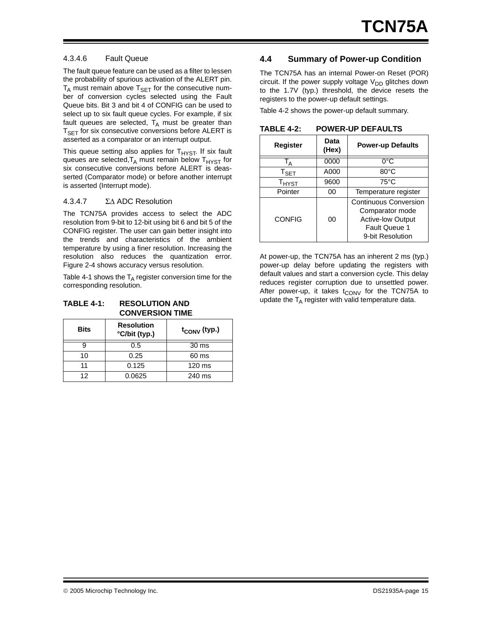#### 4.3.4.6 Fault Queue

The fault queue feature can be used as a filter to lessen the probability of spurious activation of the ALERT pin.  $T_A$  must remain above  $T_{\text{SET}}$  for the consecutive number of conversion cycles selected using the Fault Queue bits. Bit 3 and bit 4 of CONFIG can be used to select up to six fault queue cycles. For example, if six fault queues are selected,  $T_A$  must be greater than  $T_{\text{SFT}}$  for six consecutive conversions before ALERT is asserted as a comparator or an interrupt output.

This queue setting also applies for  $T_{H\gamma ST}$ . If six fault queues are selected,  $T_A$  must remain below  $T_{H\text{YST}}$  for six consecutive conversions before ALERT is deasserted (Comparator mode) or before another interrupt is asserted (Interrupt mode).

#### <span id="page-14-0"></span>4.3.4.7 ΣΔ ADC Resolution

The TCN75A provides access to select the ADC resolution from 9-bit to 12-bit using bit 6 and bit 5 of the CONFIG register. The user can gain better insight into the trends and characteristics of the ambient temperature by using a finer resolution. Increasing the resolution also reduces the quantization error. [Figure 2-4](#page-4-0) shows accuracy versus resolution.

[Table 4-1](#page-14-1) shows the  $T_A$  register conversion time for the corresponding resolution.

#### <span id="page-14-1"></span>**TABLE 4-1: RESOLUTION AND CONVERSION TIME**

| <b>Bits</b> | <b>Resolution</b><br>°C/bit (typ.) | $t_{CONV}$ (typ.) |
|-------------|------------------------------------|-------------------|
|             | 0.5                                | 30 ms             |
| 10          | 0.25                               | 60 ms             |
| 11          | 0.125                              | $120$ ms          |
| 12          | 0.0625                             | 240 ms            |

#### **4.4 Summary of Power-up Condition**

The TCN75A has an internal Power-on Reset (POR) circuit. If the power supply voltage  $V_{DD}$  glitches down to the 1.7V (typ.) threshold, the device resets the registers to the power-up default settings.

[Table 4-2](#page-14-2) shows the power-up default summary.

<span id="page-14-2"></span>**TABLE 4-2: POWER-UP DEFAULTS**

| Register                    | Data<br>(Hex) | <b>Power-up Defaults</b>                                                                                                |  |  |  |  |
|-----------------------------|---------------|-------------------------------------------------------------------------------------------------------------------------|--|--|--|--|
|                             | 0000          | $\overline{0}^{\circ}$ C                                                                                                |  |  |  |  |
| $\mathsf{T}_{\mathsf{SET}}$ | A000          | $80^{\circ}$ C                                                                                                          |  |  |  |  |
| Тнүѕт                       | 9600          | $75^{\circ}$ C                                                                                                          |  |  |  |  |
| Pointer                     | 00            | Temperature register                                                                                                    |  |  |  |  |
| <b>CONFIG</b>               | 00            | <b>Continuous Conversion</b><br>Comparator mode<br><b>Active-low Output</b><br><b>Fault Queue 1</b><br>9-bit Resolution |  |  |  |  |

At power-up, the TCN75A has an inherent 2 ms (typ.) power-up delay before updating the registers with default values and start a conversion cycle. This delay reduces register corruption due to unsettled power. After power-up, it takes  $t_{CONV}$  for the TCN75A to update the  $T_A$  register with valid temperature data.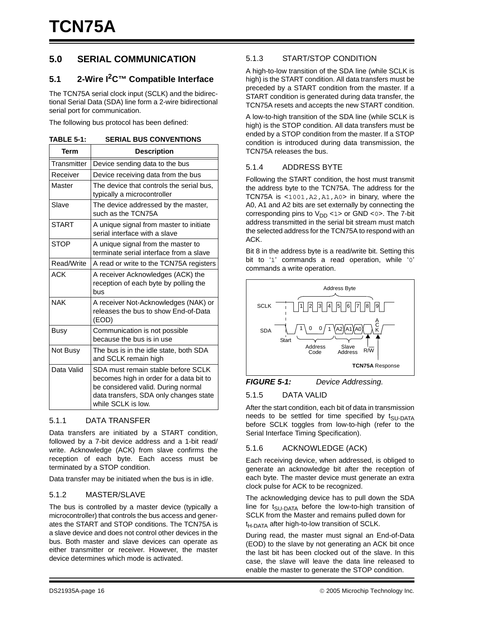#### **5.0 SERIAL COMMUNICATION**

#### **5.1 2-Wire I2C™ Compatible Interface**

The TCN75A serial clock input (SCLK) and the bidirectional Serial Data (SDA) line form a 2-wire bidirectional serial port for communication.

The following bus protocol has been defined:

| Term         | <b>Description</b>                                                                                                                                                                  |  |  |  |  |  |
|--------------|-------------------------------------------------------------------------------------------------------------------------------------------------------------------------------------|--|--|--|--|--|
| Transmitter  | Device sending data to the bus                                                                                                                                                      |  |  |  |  |  |
| Receiver     | Device receiving data from the bus                                                                                                                                                  |  |  |  |  |  |
| Master       | The device that controls the serial bus,<br>typically a microcontroller                                                                                                             |  |  |  |  |  |
| Slave        | The device addressed by the master,<br>such as the TCN75A                                                                                                                           |  |  |  |  |  |
| <b>START</b> | A unique signal from master to initiate<br>serial interface with a slave                                                                                                            |  |  |  |  |  |
| <b>STOP</b>  | A unique signal from the master to<br>terminate serial interface from a slave                                                                                                       |  |  |  |  |  |
| Read/Write   | A read or write to the TCN75A registers                                                                                                                                             |  |  |  |  |  |
| <b>ACK</b>   | A receiver Acknowledges (ACK) the<br>reception of each byte by polling the<br>bus                                                                                                   |  |  |  |  |  |
| <b>NAK</b>   | A receiver Not-Acknowledges (NAK) or<br>releases the bus to show End-of-Data<br>(EOD)                                                                                               |  |  |  |  |  |
| <b>Busy</b>  | Communication is not possible<br>because the bus is in use                                                                                                                          |  |  |  |  |  |
| Not Busy     | The bus is in the idle state, both SDA<br>and SCLK remain high                                                                                                                      |  |  |  |  |  |
| Data Valid   | SDA must remain stable before SCLK<br>becomes high in order for a data bit to<br>be considered valid. During normal<br>data transfers, SDA only changes state<br>while SCLK is low. |  |  |  |  |  |

**TABLE 5-1: SERIAL BUS CONVENTIONS**

#### 5.1.1 DATA TRANSFER

Data transfers are initiated by a START condition, followed by a 7-bit device address and a 1-bit read/ write. Acknowledge (ACK) from slave confirms the reception of each byte. Each access must be terminated by a STOP condition.

Data transfer may be initiated when the bus is in idle.

#### 5.1.2 MASTER/SLAVE

The bus is controlled by a master device (typically a microcontroller) that controls the bus access and generates the START and STOP conditions. The TCN75A is a slave device and does not control other devices in the bus. Both master and slave devices can operate as either transmitter or receiver. However, the master device determines which mode is activated.

#### 5.1.3 START/STOP CONDITION

A high-to-low transition of the SDA line (while SCLK is high) is the START condition. All data transfers must be preceded by a START condition from the master. If a START condition is generated during data transfer, the TCN75A resets and accepts the new START condition.

A low-to-high transition of the SDA line (while SCLK is high) is the STOP condition. All data transfers must be ended by a STOP condition from the master. If a STOP condition is introduced during data transmission, the TCN75A releases the bus.

#### 5.1.4 ADDRESS BYTE

Following the START condition, the host must transmit the address byte to the TCN75A. The address for the TCN75A is <1001,A2,A1,A0> in binary, where the A0, A1 and A2 bits are set externally by connecting the corresponding pins to  $V_{DD}$  <1> or GND <0>. The 7-bit address transmitted in the serial bit stream must match the selected address for the TCN75A to respond with an ACK.

Bit 8 in the address byte is a read/write bit. Setting this bit to '1' commands a read operation, while '0' commands a write operation.



*FIGURE 5-1: Device Addressing.*

#### 5.1.5 DATA VALID

After the start condition, each bit of data in transmission needs to be settled for time specified by t<sub>SU-DATA</sub> before SCLK toggles from low-to-high (refer to the Serial Interface Timing Specification).

#### 5.1.6 ACKNOWLEDGE (ACK)

Each receiving device, when addressed, is obliged to generate an acknowledge bit after the reception of each byte. The master device must generate an extra clock pulse for ACK to be recognized.

The acknowledging device has to pull down the SDA line for  $t<sub>SU-DATA</sub>$  before the low-to-high transition of SCLK from the Master and remains pulled down for  $t_{H-DATA}$  after high-to-low transition of SCLK.

During read, the master must signal an End-of-Data (EOD) to the slave by not generating an ACK bit once the last bit has been clocked out of the slave. In this case, the slave will leave the data line released to enable the master to generate the STOP condition.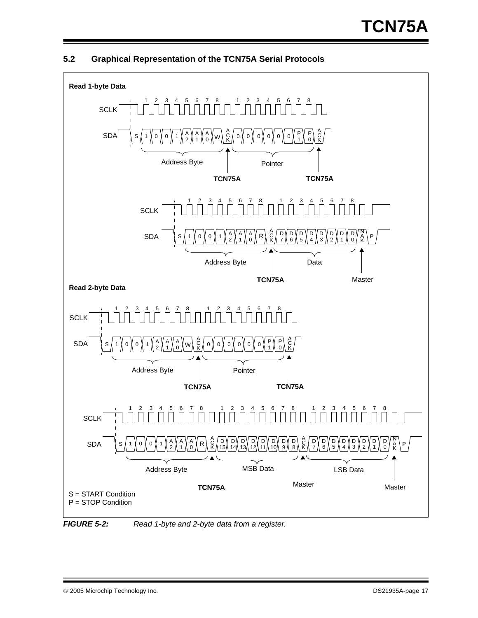

#### **5.2 Graphical Representation of the TCN75A Serial Protocols**

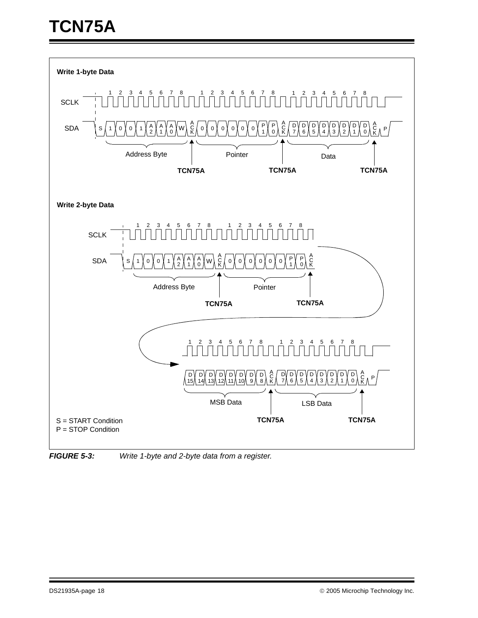

*FIGURE 5-3: Write 1-byte and 2-byte data from a register.*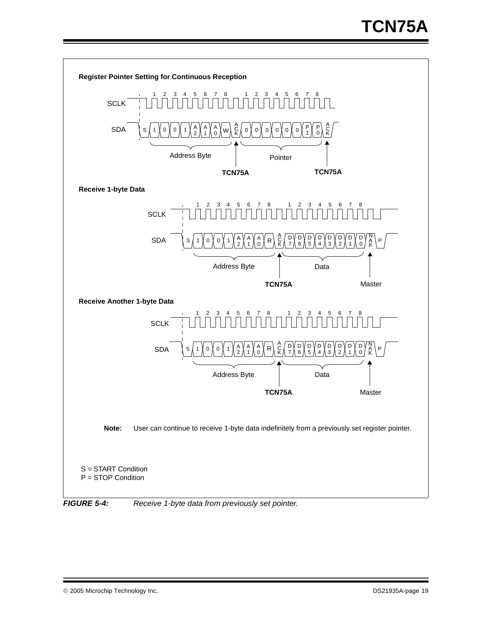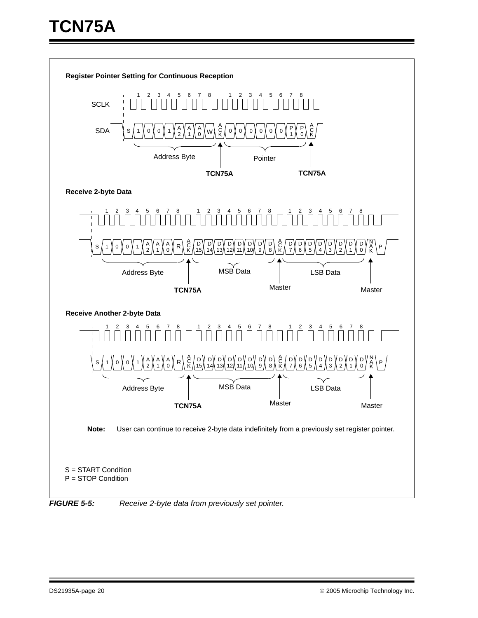

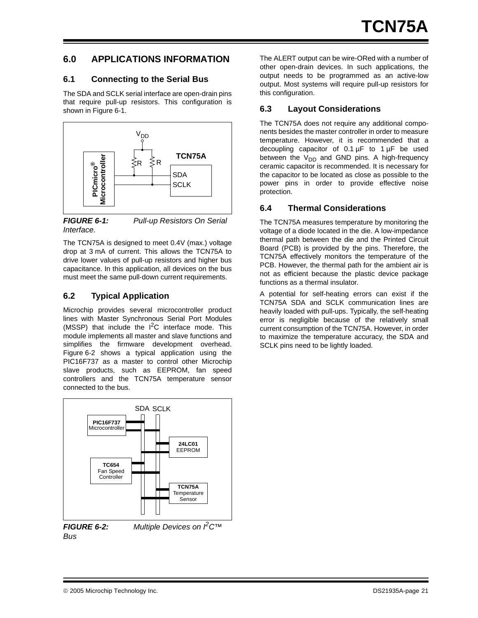#### **6.0 APPLICATIONS INFORMATION**

#### **6.1 Connecting to the Serial Bus**

The SDA and SCLK serial interface are open-drain pins that require pull-up resistors. This configuration is shown in [Figure 6-1.](#page-20-0)



<span id="page-20-0"></span>*FIGURE 6-1: Pull-up Resistors On Serial Interface.*

The TCN75A is designed to meet 0.4V (max.) voltage drop at 3 mA of current. This allows the TCN75A to drive lower values of pull-up resistors and higher bus capacitance. In this application, all devices on the bus must meet the same pull-down current requirements.

#### **6.2 Typical Application**

Microchip provides several microcontroller product lines with Master Synchronous Serial Port Modules (MSSP) that include the  $I^2C$  interface mode. This module implements all master and slave functions and simplifies the firmware development overhead. [Figure 6-2](#page-20-1) shows a typical application using the PIC16F737 as a master to control other Microchip slave products, such as EEPROM, fan speed controllers and the TCN75A temperature sensor connected to the bus.



<span id="page-20-1"></span>*Bus*

*FIGURE 6-2: Multiple Devices on I2C™* 

The ALERT output can be wire-ORed with a number of other open-drain devices. In such applications, the output needs to be programmed as an active-low output. Most systems will require pull-up resistors for this configuration.

#### **6.3 Layout Considerations**

The TCN75A does not require any additional components besides the master controller in order to measure temperature. However, it is recommended that a decoupling capacitor of 0.1 µF to 1 µF be used between the  $V_{DD}$  and GND pins. A high-frequency ceramic capacitor is recommended. It is necessary for the capacitor to be located as close as possible to the power pins in order to provide effective noise protection.

#### **6.4 Thermal Considerations**

The TCN75A measures temperature by monitoring the voltage of a diode located in the die. A low-impedance thermal path between the die and the Printed Circuit Board (PCB) is provided by the pins. Therefore, the TCN75A effectively monitors the temperature of the PCB. However, the thermal path for the ambient air is not as efficient because the plastic device package functions as a thermal insulator.

A potential for self-heating errors can exist if the TCN75A SDA and SCLK communication lines are heavily loaded with pull-ups. Typically, the self-heating error is negligible because of the relatively small current consumption of the TCN75A. However, in order to maximize the temperature accuracy, the SDA and SCLK pins need to be lightly loaded.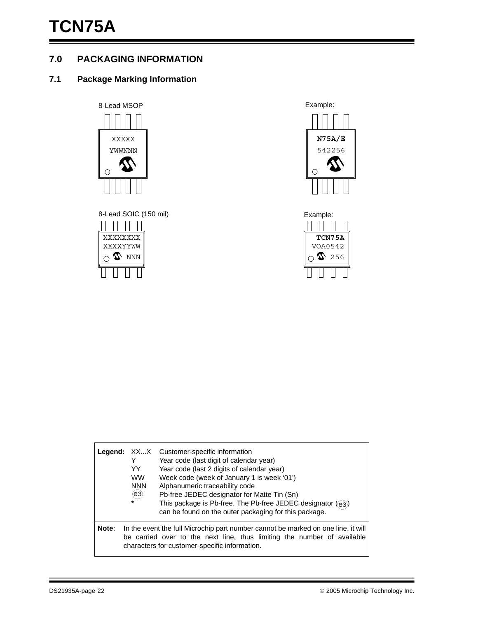#### **7.0 PACKAGING INFORMATION**

#### **7.1 Package Marking Information**









|       | YY<br><b>WW</b><br><b>NNN</b><br>(e3)<br>$\star$ | <b>Legend:</b> XXX Customer-specific information<br>Year code (last digit of calendar year)<br>Year code (last 2 digits of calendar year)<br>Week code (week of January 1 is week '01')<br>Alphanumeric traceability code<br>Pb-free JEDEC designator for Matte Tin (Sn)<br>This package is Pb-free. The Pb-free JEDEC designator $\langle (e_3) \rangle$<br>can be found on the outer packaging for this package. |
|-------|--------------------------------------------------|--------------------------------------------------------------------------------------------------------------------------------------------------------------------------------------------------------------------------------------------------------------------------------------------------------------------------------------------------------------------------------------------------------------------|
| Note: |                                                  | In the event the full Microchip part number cannot be marked on one line, it will<br>be carried over to the next line, thus limiting the number of available<br>characters for customer-specific information.                                                                                                                                                                                                      |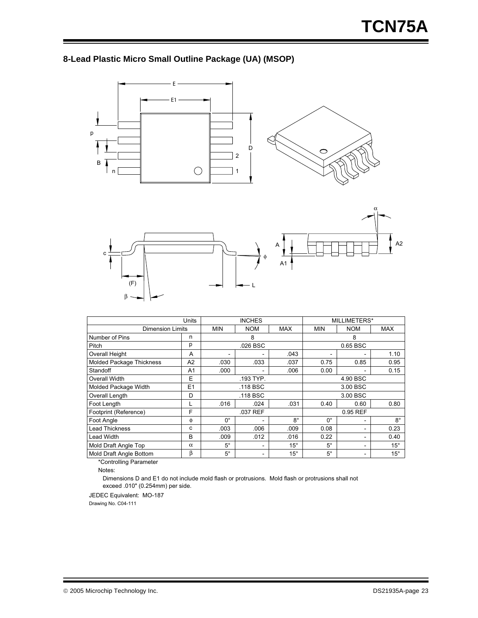#### **8-Lead Plastic Micro Small Outline Package (UA) (MSOP)**





|                                 | Units          | <b>INCHES</b> |                          |                           | MILLIMETERS*         |                          |              |  |
|---------------------------------|----------------|---------------|--------------------------|---------------------------|----------------------|--------------------------|--------------|--|
| <b>Dimension Limits</b>         |                | <b>MIN</b>    | <b>NOM</b>               | <b>MAX</b>                | <b>MIN</b>           | <b>NOM</b>               | <b>MAX</b>   |  |
| Number of Pins                  | n              |               | 8                        |                           |                      | 8                        |              |  |
| Pitch                           | p              |               | .026 BSC                 |                           |                      | 0.65 BSC                 |              |  |
| Overall Height                  | A              |               |                          | .043                      |                      |                          | 1.10         |  |
| <b>Molded Package Thickness</b> | A <sub>2</sub> | .030          | .033                     | .037                      | 0.75                 | 0.85                     | 0.95         |  |
| Standoff                        | A <sub>1</sub> | .000          |                          | .006                      | 0.00                 |                          | 0.15         |  |
| Overall Width                   | E              |               | .193 TYP.                |                           | 4.90 BSC             |                          |              |  |
| Molded Package Width            | E1             |               | .118 BSC                 |                           | 3.00 BSC             |                          |              |  |
| Overall Length                  | D              |               | .118 BSC                 |                           | 3.00 BSC             |                          |              |  |
| Foot Length                     |                | .016          | .024                     | .031                      | 0.80<br>0.40<br>0.60 |                          |              |  |
| Footprint (Reference)           | F              | .037 REF      |                          | 0.95 REF                  |                      |                          |              |  |
| Foot Angle                      | φ              | $0^{\circ}$   |                          | $8^{\circ}$               | $0^{\circ}$          |                          | $8^\circ$    |  |
| <b>Lead Thickness</b>           | c              | .003          | .006                     | .009                      | 0.08                 | $\overline{\phantom{0}}$ | 0.23         |  |
| Lead Width                      | B              | .009          | .012                     | .016                      | 0.22                 |                          | 0.40         |  |
| Mold Draft Angle Top            | $\alpha$       | $5^\circ$     |                          | $5^\circ$<br>$15^{\circ}$ |                      |                          | $15^{\circ}$ |  |
| Mold Draft Angle Bottom         | β              | $5^\circ$     | $\overline{\phantom{a}}$ | $15^{\circ}$              | $5^{\circ}$          | ۰                        | $15^{\circ}$ |  |

\*Controlling Parameter

Notes:

Dimensions D and E1 do not include mold flash or protrusions. Mold flash or protrusions shall not exceed .010" (0.254mm) per side.

JEDEC Equivalent: MO-187

Drawing No. C04-111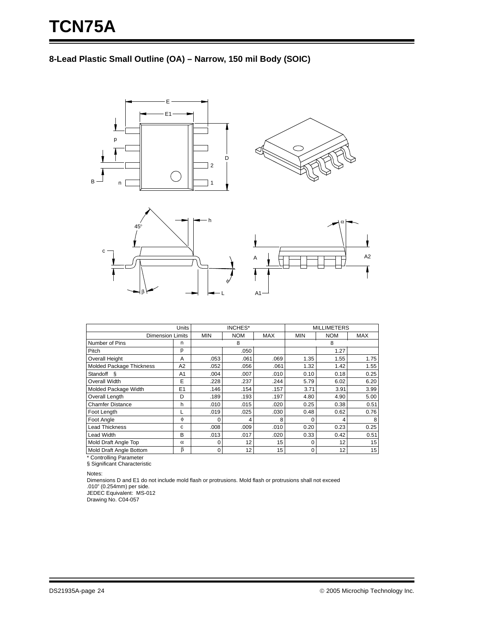**8-Lead Plastic Small Outline (OA) – Narrow, 150 mil Body (SOIC)**









|                                     | <b>Units</b> | INCHES*    |            | <b>MILLIMETERS</b> |            |            |            |
|-------------------------------------|--------------|------------|------------|--------------------|------------|------------|------------|
| <b>Dimension Limits</b>             |              | <b>MIN</b> | <b>NOM</b> | <b>MAX</b>         | <b>MIN</b> | <b>NOM</b> | <b>MAX</b> |
| Number of Pins                      | n            | 8          |            | 8                  |            |            |            |
| Pitch                               | р            |            | .050       |                    |            | 1.27       |            |
| <b>Overall Height</b>               | A            | .053       | .061       | .069               | 1.35       | 1.55       | 1.75       |
| Molded Package Thickness            | A2           | .052       | .056       | .061               | 1.32       | 1.42       | 1.55       |
| Standoff §                          | A1           | .004       | .007       | .010               | 0.10       | 0.18       | 0.25       |
| Overall Width                       | E            | .228       | .237       | .244               | 5.79       | 6.02       | 6.20       |
| Molded Package Width                | E1           | .146       | .154       | .157               | 3.71       | 3.91       | 3.99       |
| Overall Length                      | D            | .189       | .193       | .197               | 4.80       | 4.90       | 5.00       |
| <b>Chamfer Distance</b>             | h            | .010       | .015       | .020               | 0.25       | 0.38       | 0.51       |
| Foot Lenath                         |              | .019       | .025       | .030               | 0.48       | 0.62       | 0.76       |
| Foot Angle                          | φ            |            | 4          | 8                  | O          |            |            |
| <b>Lead Thickness</b>               | c            | .008       | .009       | .010               | 0.20       | 0.23       | 0.25       |
| Lead Width                          | В            | .013       | .017       | .020               | 0.33       | 0.42       | 0.51       |
| Mold Draft Angle Top                | $\alpha$     |            | 12         | 15                 | O          | 12         | 15         |
| Mold Draft Angle Bottom<br>$\cdots$ | β            |            | 12         | 15                 | 0          | 12         | 15         |

\* Controlling Parameter

§ Significant Characteristic

Notes:

Dimensions D and E1 do not include mold flash or protrusions. Mold flash or protrusions shall not exceed .010" (0.254mm) per side.

JEDEC Equivalent: MS-012 Drawing No. C04-057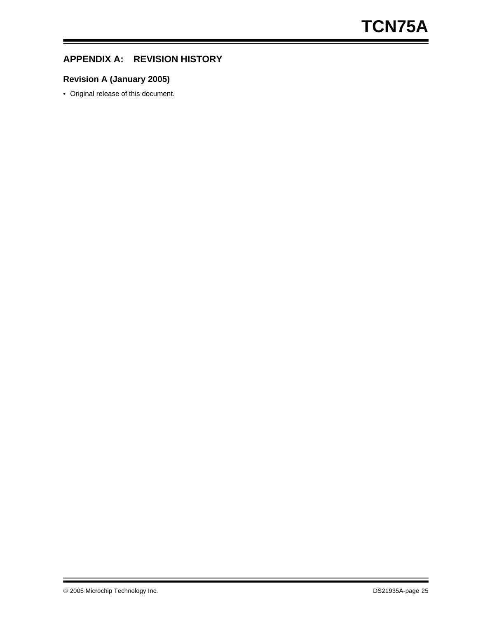#### **APPENDIX A: REVISION HISTORY**

#### **Revision A (January 2005)**

• Original release of this document.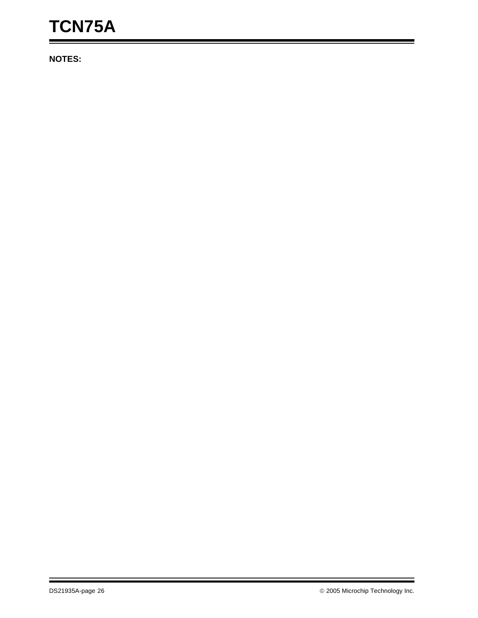## **TCN75A**

**NOTES:**

ä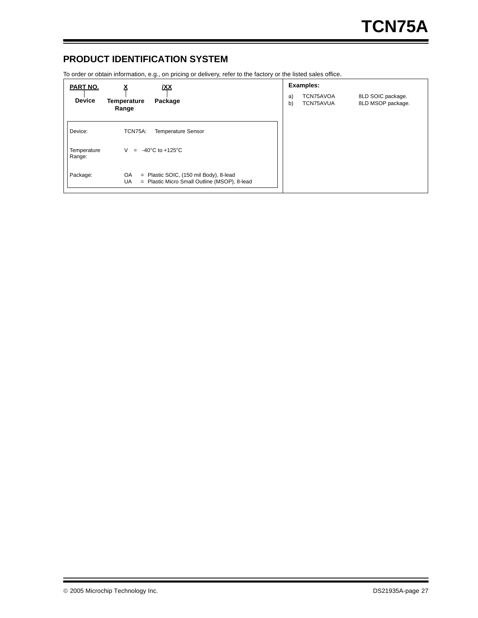### **PRODUCT IDENTIFICATION SYSTEM**

To order or obtain information, e.g., on pricing or delivery, refer to the factory or the listed sales office.

| <b>PART NO.</b>       | /XX                                                                                                   | <b>Examples:</b> |                        |                                        |  |  |
|-----------------------|-------------------------------------------------------------------------------------------------------|------------------|------------------------|----------------------------------------|--|--|
| <b>Device</b>         | Temperature<br>Package<br>Range                                                                       | a)<br>b)         | TCN75AVOA<br>TCN75AVUA | 8LD SOIC package.<br>8LD MSOP package. |  |  |
| Device:               | <b>TCN75A:</b><br><b>Temperature Sensor</b>                                                           |                  |                        |                                        |  |  |
| Temperature<br>Range: | $= -40^{\circ}$ C to +125 <sup>°</sup> C<br>V                                                         |                  |                        |                                        |  |  |
| Package:              | OA.<br>$=$ Plastic SOIC, (150 mil Body), 8-lead<br>= Plastic Micro Small Outline (MSOP), 8-lead<br>UA |                  |                        |                                        |  |  |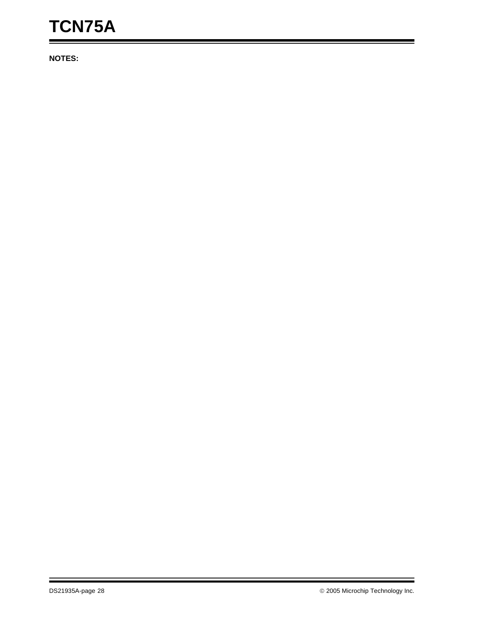## **TCN75A**

**NOTES:**

ä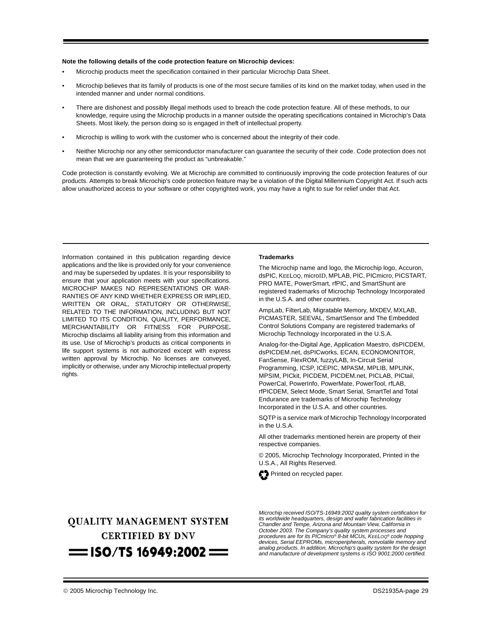#### **Note the following details of the code protection feature on Microchip devices:**

- Microchip products meet the specification contained in their particular Microchip Data Sheet.
- Microchip believes that its family of products is one of the most secure families of its kind on the market today, when used in the intended manner and under normal conditions.
- There are dishonest and possibly illegal methods used to breach the code protection feature. All of these methods, to our knowledge, require using the Microchip products in a manner outside the operating specifications contained in Microchip's Data Sheets. Most likely, the person doing so is engaged in theft of intellectual property.
- Microchip is willing to work with the customer who is concerned about the integrity of their code.
- Neither Microchip nor any other semiconductor manufacturer can guarantee the security of their code. Code protection does not mean that we are guaranteeing the product as "unbreakable."

Code protection is constantly evolving. We at Microchip are committed to continuously improving the code protection features of our products. Attempts to break Microchip's code protection feature may be a violation of the Digital Millennium Copyright Act. If such acts allow unauthorized access to your software or other copyrighted work, you may have a right to sue for relief under that Act.

Information contained in this publication regarding device applications and the like is provided only for your convenience and may be superseded by updates. It is your responsibility to ensure that your application meets with your specifications. MICROCHIP MAKES NO REPRESENTATIONS OR WAR-RANTIES OF ANY KIND WHETHER EXPRESS OR IMPLIED, WRITTEN OR ORAL, STATUTORY OR OTHERWISE, RELATED TO THE INFORMATION, INCLUDING BUT NOT LIMITED TO ITS CONDITION, QUALITY, PERFORMANCE, MERCHANTABILITY OR FITNESS FOR PURPOSE**.** Microchip disclaims all liability arising from this information and its use. Use of Microchip's products as critical components in life support systems is not authorized except with express written approval by Microchip. No licenses are conveyed, implicitly or otherwise, under any Microchip intellectual property rights.

#### **Trademarks**

The Microchip name and logo, the Microchip logo, Accuron, dsPIC, KEELOQ, microID, MPLAB, PIC, PICmicro, PICSTART, PRO MATE, PowerSmart, rfPIC, and SmartShunt are registered trademarks of Microchip Technology Incorporated in the U.S.A. and other countries.

AmpLab, FilterLab, Migratable Memory, MXDEV, MXLAB, PICMASTER, SEEVAL, SmartSensor and The Embedded Control Solutions Company are registered trademarks of Microchip Technology Incorporated in the U.S.A.

Analog-for-the-Digital Age, Application Maestro, dsPICDEM, dsPICDEM.net, dsPICworks, ECAN, ECONOMONITOR, FanSense, FlexROM, fuzzyLAB, In-Circuit Serial Programming, ICSP, ICEPIC, MPASM, MPLIB, MPLINK, MPSIM, PICkit, PICDEM, PICDEM.net, PICLAB, PICtail, PowerCal, PowerInfo, PowerMate, PowerTool, rfLAB, rfPICDEM, Select Mode, Smart Serial, SmartTel and Total Endurance are trademarks of Microchip Technology Incorporated in the U.S.A. and other countries.

SQTP is a service mark of Microchip Technology Incorporated in the U.S.A.

All other trademarks mentioned herein are property of their respective companies.

© 2005, Microchip Technology Incorporated, Printed in the U.S.A., All Rights Reserved.



### **OUALITY MANAGEMENT SYSTEM CERTIFIED BY DNV**  $=$  ISO/TS 16949:2002  $=$

*Microchip received ISO/TS-16949:2002 quality system certification for its worldwide headquarters, design and wafer fabrication facilities in Chandler and Tempe, Arizona and Mountain View, California in October 2003. The Company's quality system processes and procedures are for its PICmicro® 8-bit MCUs, KEELOQ® code hopping devices, Serial EEPROMs, microperipherals, nonvolatile memory and analog products. In addition, Microchip's quality system for the design and manufacture of development systems is ISO 9001:2000 certified.*